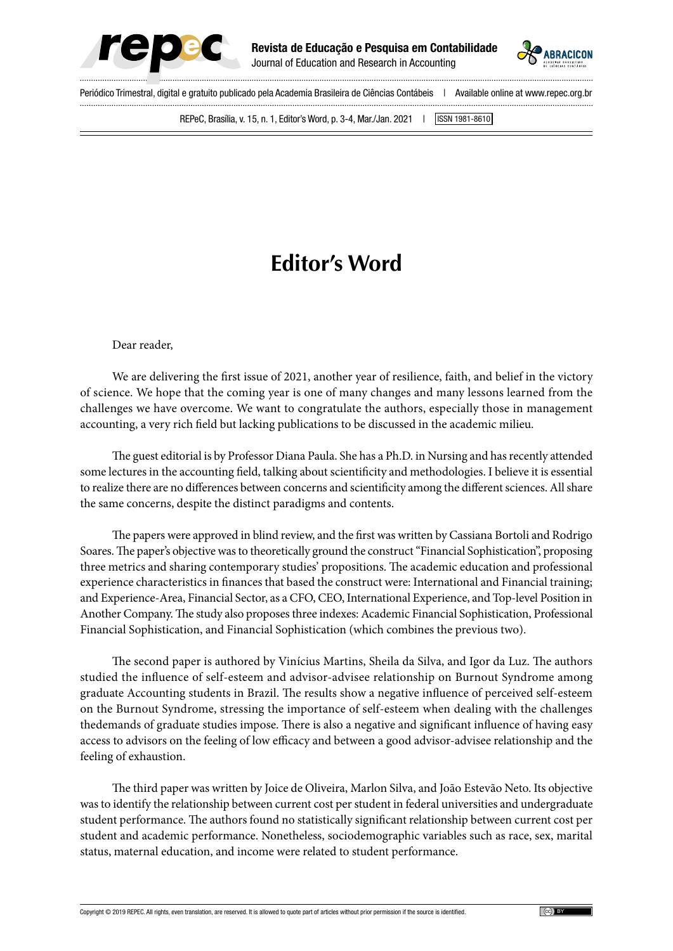



Periódico Trimestral, digital e gratuito publicado pela Academia Brasileira de Ciências Contábeis | Available online at www.repec.org.br REPeC, Brasília, v. 15, n. 1, Editor's Word, p. 3-4, Mar./Jan. 2021 | ISSN 1981-8610

## **Editor's Word**

Dear reader,

We are delivering the first issue of 2021, another year of resilience, faith, and belief in the victory of science. We hope that the coming year is one of many changes and many lessons learned from the challenges we have overcome. We want to congratulate the authors, especially those in management accounting, a very rich field but lacking publications to be discussed in the academic milieu.

The guest editorial is by Professor Diana Paula. She has a Ph.D. in Nursing and has recently attended some lectures in the accounting field, talking about scientificity and methodologies. I believe it is essential to realize there are no differences between concerns and scientificity among the different sciences. All share the same concerns, despite the distinct paradigms and contents.

The papers were approved in blind review, and the first was written by Cassiana Bortoli and Rodrigo Soares. The paper's objective was to theoretically ground the construct "Financial Sophistication", proposing three metrics and sharing contemporary studies' propositions. The academic education and professional experience characteristics in finances that based the construct were: International and Financial training; and Experience-Area, Financial Sector, as a CFO, CEO, International Experience, and Top-level Position in Another Company. The study also proposes three indexes: Academic Financial Sophistication, Professional Financial Sophistication, and Financial Sophistication (which combines the previous two).

The second paper is authored by Vinícius Martins, Sheila da Silva, and Igor da Luz. The authors studied the influence of self-esteem and advisor-advisee relationship on Burnout Syndrome among graduate Accounting students in Brazil. The results show a negative influence of perceived self-esteem on the Burnout Syndrome, stressing the importance of self-esteem when dealing with the challenges thedemands of graduate studies impose. There is also a negative and significant influence of having easy access to advisors on the feeling of low efficacy and between a good advisor-advisee relationship and the feeling of exhaustion.

The third paper was written by Joice de Oliveira, Marlon Silva, and João Estevão Neto. Its objective was to identify the relationship between current cost per student in federal universities and undergraduate student performance. The authors found no statistically significant relationship between current cost per student and academic performance. Nonetheless, sociodemographic variables such as race, sex, marital status, maternal education, and income were related to student performance.